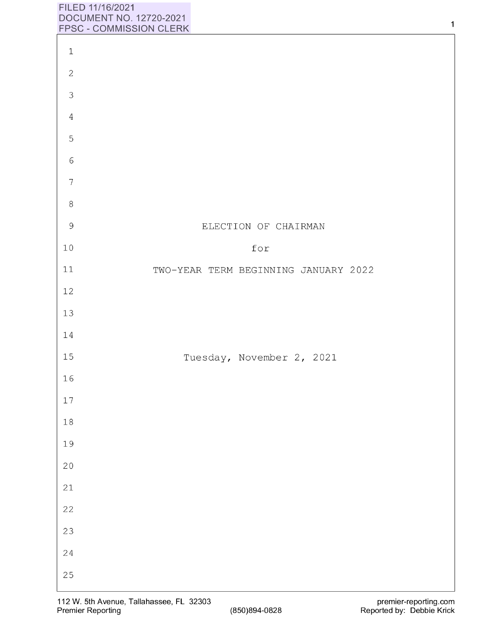## **FILED 11/16/2021 DOCUMENT NO. 12720-2021 FPSC** - **COMMISSION CLERK**

|                  | <b>LLOC - COMMINIOSION AFEW</b>      |
|------------------|--------------------------------------|
| $1\,$            |                                      |
| $\sqrt{2}$       |                                      |
| $\mathfrak{Z}$   |                                      |
| $\sqrt{4}$       |                                      |
| 5                |                                      |
| $\epsilon$       |                                      |
| $\boldsymbol{7}$ |                                      |
| $\,8\,$          |                                      |
| 9                | ELECTION OF CHAIRMAN                 |
| $10$             | for                                  |
| $11\,$           | TWO-YEAR TERM BEGINNING JANUARY 2022 |
| 12               |                                      |
| 13               |                                      |
| 14               |                                      |
| 15               | Tuesday, November 2, 2021            |
| 16               |                                      |
| $17$             |                                      |
| 18               |                                      |
| 19               |                                      |
| 20<br>21         |                                      |
| 22               |                                      |
| 23               |                                      |
| 24               |                                      |
| 25               |                                      |
|                  |                                      |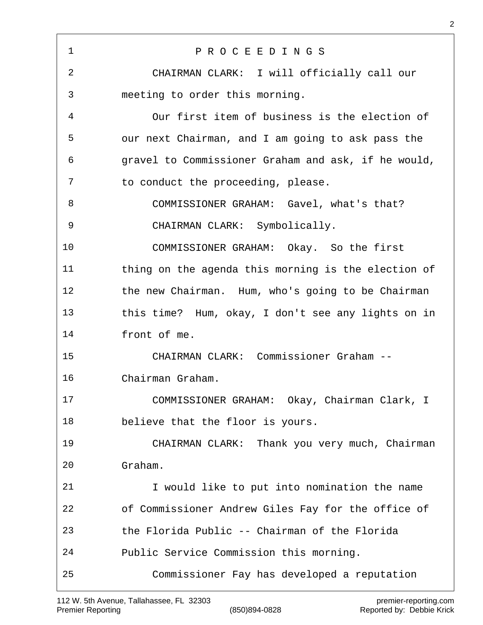P R O C E E D I N G S CHAIRMAN CLARK: I will officially call our meeting to order this morning. Our first item of business is the election of our next Chairman, and I am going to ask pass the gravel to Commissioner Graham and ask, if he would, 7 to conduct the proceeding, please. COMMISSIONER GRAHAM: Gavel, what's that? CHAIRMAN CLARK: Symbolically. COMMISSIONER GRAHAM: Okay. So the first thing on the agenda this morning is the election of the new Chairman. Hum, who's going to be Chairman this time? Hum, okay, I don't see any lights on in front of me. CHAIRMAN CLARK: Commissioner Graham -- Chairman Graham. COMMISSIONER GRAHAM: Okay, Chairman Clark, I believe that the floor is yours. CHAIRMAN CLARK: Thank you very much, Chairman Graham. I would like to put into nomination the name of Commissioner Andrew Giles Fay for the office of the Florida Public -- Chairman of the Florida Public Service Commission this morning. Commissioner Fay has developed a reputation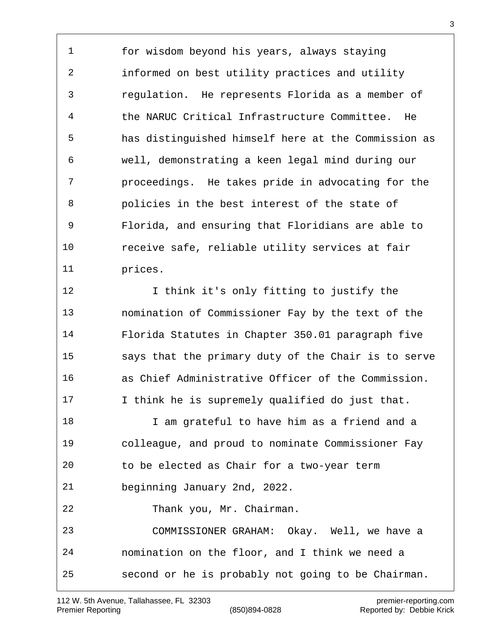for wisdom beyond his years, always staying informed on best utility practices and utility regulation. He represents Florida as a member of the NARUC Critical Infrastructure Committee. He has distinguished himself here at the Commission as well, demonstrating a keen legal mind during our proceedings. He takes pride in advocating for the policies in the best interest of the state of Florida, and ensuring that Floridians are able to receive safe, reliable utility services at fair prices.

12 I think it's only fitting to justify the nomination of Commissioner Fay by the text of the Florida Statutes in Chapter 350.01 paragraph five says that the primary duty of the Chair is to serve as Chief Administrative Officer of the Commission. I think he is supremely qualified do just that. I am grateful to have him as a friend and a colleague, and proud to nominate Commissioner Fay to be elected as Chair for a two-year term beginning January 2nd, 2022. Thank you, Mr. Chairman. COMMISSIONER GRAHAM: Okay. Well, we have a nomination on the floor, and I think we need a second or he is probably not going to be Chairman.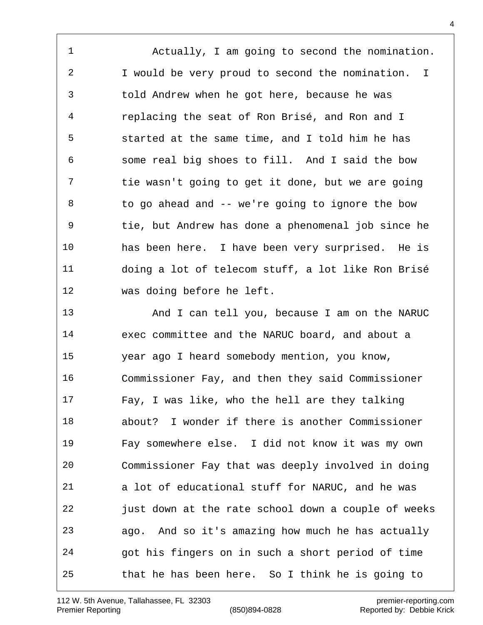Actually, I am going to second the nomination. I would be very proud to second the nomination. I told Andrew when he got here, because he was replacing the seat of Ron Brisé, and Ron and I started at the same time, and I told him he has some real big shoes to fill. And I said the bow tie wasn't going to get it done, but we are going to go ahead and -- we're going to ignore the bow tie, but Andrew has done a phenomenal job since he has been here. I have been very surprised. He is doing a lot of telecom stuff, a lot like Ron Brisé was doing before he left.

 And I can tell you, because I am on the NARUC exec committee and the NARUC board, and about a year ago I heard somebody mention, you know, Commissioner Fay, and then they said Commissioner Fay, I was like, who the hell are they talking about? I wonder if there is another Commissioner Fay somewhere else. I did not know it was my own Commissioner Fay that was deeply involved in doing a lot of educational stuff for NARUC, and he was just down at the rate school down a couple of weeks ago. And so it's amazing how much he has actually got his fingers on in such a short period of time that he has been here. So I think he is going to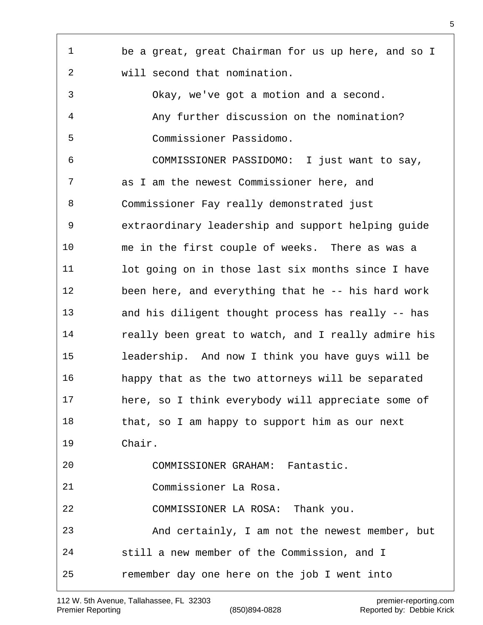| 1  | be a great, great Chairman for us up here, and so I |
|----|-----------------------------------------------------|
| 2  | will second that nomination.                        |
| 3  | Okay, we've got a motion and a second.              |
| 4  | Any further discussion on the nomination?           |
| 5  | Commissioner Passidomo.                             |
| 6  | COMMISSIONER PASSIDOMO: I just want to say,         |
| 7  | as I am the newest Commissioner here, and           |
| 8  | Commissioner Fay really demonstrated just           |
| 9  | extraordinary leadership and support helping guide  |
| 10 | me in the first couple of weeks. There as was a     |
| 11 | lot going on in those last six months since I have  |
| 12 | been here, and everything that he -- his hard work  |
| 13 | and his diligent thought process has really -- has  |
| 14 | really been great to watch, and I really admire his |
| 15 | leadership. And now I think you have guys will be   |
| 16 | happy that as the two attorneys will be separated   |
| 17 | here, so I think everybody will appreciate some of  |
| 18 | that, so I am happy to support him as our next      |
| 19 | Chair.                                              |
| 20 | COMMISSIONER GRAHAM: Fantastic.                     |
| 21 | Commissioner La Rosa.                               |
| 22 | COMMISSIONER LA ROSA: Thank you.                    |
| 23 | And certainly, I am not the newest member, but      |
| 24 | still a new member of the Commission, and I         |
| 25 | remember day one here on the job I went into        |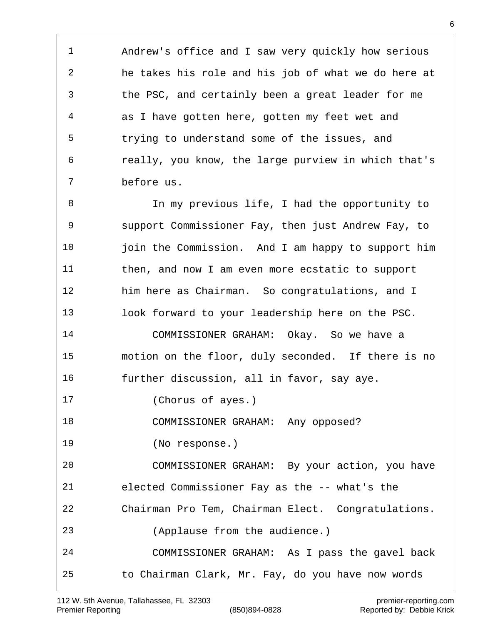Andrew's office and I saw very quickly how serious he takes his role and his job of what we do here at the PSC, and certainly been a great leader for me as I have gotten here, gotten my feet wet and trying to understand some of the issues, and really, you know, the large purview in which that's before us.

 In my previous life, I had the opportunity to support Commissioner Fay, then just Andrew Fay, to 10 ioin the Commission. And I am happy to support him then, and now I am even more ecstatic to support him here as Chairman. So congratulations, and I look forward to your leadership here on the PSC. COMMISSIONER GRAHAM: Okay. So we have a motion on the floor, duly seconded. If there is no further discussion, all in favor, say aye. (Chorus of ayes.) COMMISSIONER GRAHAM: Any opposed? (No response.) COMMISSIONER GRAHAM: By your action, you have elected Commissioner Fay as the -- what's the Chairman Pro Tem, Chairman Elect. Congratulations. (Applause from the audience.) COMMISSIONER GRAHAM: As I pass the gavel back to Chairman Clark, Mr. Fay, do you have now words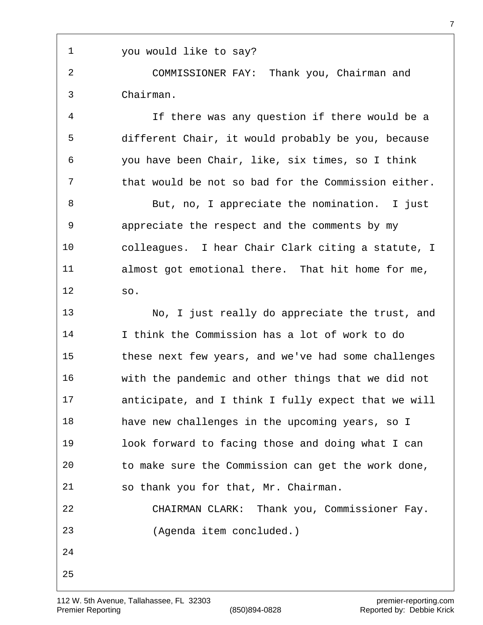you would like to say?

 COMMISSIONER FAY: Thank you, Chairman and Chairman.

 If there was any question if there would be a different Chair, it would probably be you, because you have been Chair, like, six times, so I think that would be not so bad for the Commission either.

 But, no, I appreciate the nomination. I just appreciate the respect and the comments by my colleagues. I hear Chair Clark citing a statute, I almost got emotional there. That hit home for me, so.

 No, I just really do appreciate the trust, and I think the Commission has a lot of work to do these next few years, and we've had some challenges with the pandemic and other things that we did not anticipate, and I think I fully expect that we will have new challenges in the upcoming years, so I look forward to facing those and doing what I can to make sure the Commission can get the work done, so thank you for that, Mr. Chairman. CHAIRMAN CLARK: Thank you, Commissioner Fay. (Agenda item concluded.)